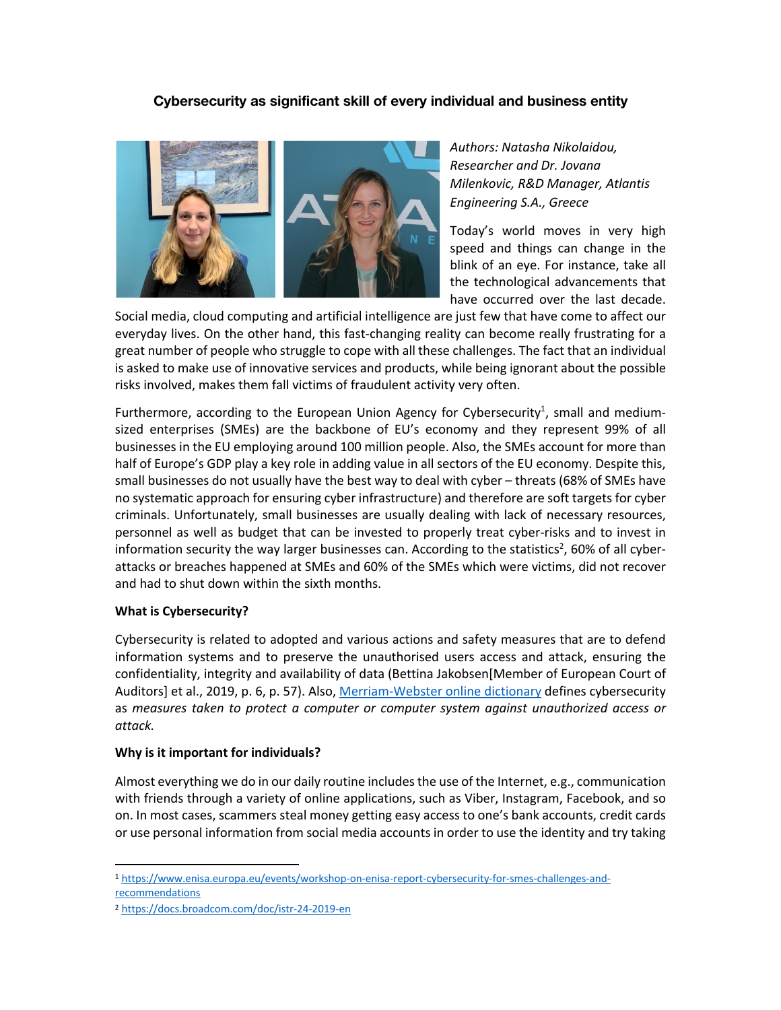# **Cybersecurity as significant skill of every individual and business entity**



*Authors: Natasha Nikolaidou, Researcher and Dr. Jovana Milenkovic, R&D Manager, Atlantis Engineering S.A., Greece*

Today's world moves in very high speed and things can change in the blink of an eye. For instance, take all the technological advancements that have occurred over the last decade.

Social media, cloud computing and artificial intelligence are just few that have come to affect our everyday lives. On the other hand, this fast-changing reality can become really frustrating for a great number of people who struggle to cope with all these challenges. The fact that an individual is asked to make use of innovative services and products, while being ignorant about the possible risks involved, makes them fall victims of fraudulent activity very often.

Furthermore, according to the European Union Agency for Cybersecurity<sup>1</sup>, small and mediumsized enterprises (SMEs) are the backbone of EU's economy and they represent 99% of all businesses in the EU employing around 100 million people. Also, the SMEs account for more than half of Europe's GDP play a key role in adding value in all sectors of the EU economy. Despite this, small businesses do not usually have the best way to deal with cyber – threats (68% of SMEs have no systematic approach for ensuring cyber infrastructure) and therefore are soft targets for cyber criminals. Unfortunately, small businesses are usually dealing with lack of necessary resources, personnel as well as budget that can be invested to properly treat cyber-risks and to invest in information security the way larger businesses can. According to the statistics<sup>2</sup>, 60% of all cyberattacks or breaches happened at SMEs and 60% of the SMEs which were victims, did not recover and had to shut down within the sixth months.

### **What is Cybersecurity?**

Cybersecurity is related to adopted and various actions and safety measures that are to defend information systems and to preserve the unauthorised users access and attack, ensuring the confidentiality, integrity and availability of data (Bettina Jakobsen[Member of European Court of Auditors] et al., 2019, p. 6, p. 57). Also, Merriam-Webster online dictionary defines cybersecurity as *measures taken to protect a computer or computer system against unauthorized access or attack.* 

### **Why is it important for individuals?**

Almost everything we do in our daily routine includes the use of the Internet, e.g., communication with friends through a variety of online applications, such as Viber, Instagram, Facebook, and so on. In most cases, scammers steal money getting easy access to one's bank accounts, credit cards or use personal information from social media accounts in order to use the identity and try taking

<sup>1</sup> https://www.enisa.europa.eu/events/workshop-on-enisa-report-cybersecurity-for-smes-challenges-andrecommendations

<sup>2</sup> https://docs.broadcom.com/doc/istr-24-2019-en